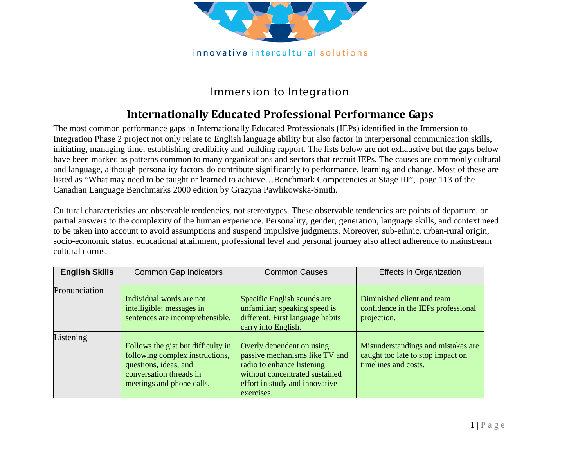

## Immers ion to Integration

## **Internationally Educated Professional Performance Gaps**

The most common performance gaps in Internationally Educated Professionals (IEPs) identified in the Immersion to Integration Phase 2 project not only relate to English language ability but also factor in interpersonal communication skills, initiating, managing time, establishing credibility and building rapport. The lists below are not exhaustive but the gaps below have been marked as patterns common to many organizations and sectors that recruit IEPs. The causes are commonly cultural and language, although personality factors do contribute significantly to performance, learning and change. Most of these are listed as "What may need to be taught or learned to achieve...Benchmark Competencies at Stage III", page 113 of the Canadian Language Benchmarks 2000 edition by Grazyna Pawlikowska-Smith.

Cultural characteristics are observable tendencies, not stereotypes. These observable tendencies are points of departure, or partial answers to the complexity of the human experience. Personality, gender, generation, language skills, and context need to be taken into account to avoid assumptions and suspend impulsive judgments. Moreover, sub-ethnic, urban-rural origin, socio-economic status, educational attainment, professional level and personal journey also affect adherence to mainstream cultural norms.

| <b>English Skills</b> | <b>Common Gap Indicators</b>                                                                                                                           | <b>Common Causes</b>                                                                                                                                                        | <b>Effects in Organization</b>                                                                  |
|-----------------------|--------------------------------------------------------------------------------------------------------------------------------------------------------|-----------------------------------------------------------------------------------------------------------------------------------------------------------------------------|-------------------------------------------------------------------------------------------------|
| Pronunciation         | Individual words are not<br>intelligible; messages in<br>sentences are incomprehensible.                                                               | Specific English sounds are<br>unfamiliar; speaking speed is<br>different. First language habits<br>carry into English.                                                     | Diminished client and team<br>confidence in the IEPs professional<br>projection.                |
| Listening             | Follows the gist but difficulty in<br>following complex instructions,<br>questions, ideas, and<br>conversation threads in<br>meetings and phone calls. | Overly dependent on using<br>passive mechanisms like TV and<br>radio to enhance listening<br>without concentrated sustained<br>effort in study and innovative<br>exercises. | Misunderstandings and mistakes are<br>caught too late to stop impact on<br>timelines and costs. |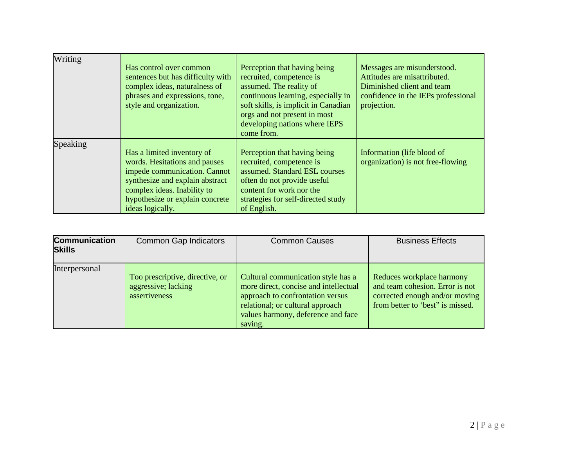| Writing  | Has control over common<br>sentences but has difficulty with<br>complex ideas, naturalness of<br>phrases and expressions, tone,<br>style and organization.                                                           | Perception that having being<br>recruited, competence is<br>assumed. The reality of<br>continuous learning, especially in<br>soft skills, is implicit in Canadian<br>orgs and not present in most<br>developing nations where IEPS<br>come from. | Messages are misunderstood.<br>Attitudes are misattributed.<br>Diminished client and team<br>confidence in the IEPs professional<br>projection. |
|----------|----------------------------------------------------------------------------------------------------------------------------------------------------------------------------------------------------------------------|--------------------------------------------------------------------------------------------------------------------------------------------------------------------------------------------------------------------------------------------------|-------------------------------------------------------------------------------------------------------------------------------------------------|
| Speaking | Has a limited inventory of<br>words. Hesitations and pauses<br>impede communication. Cannot<br>synthesize and explain abstract<br>complex ideas. Inability to<br>hypothesize or explain concrete<br>ideas logically. | Perception that having being<br>recruited, competence is<br>assumed. Standard ESL courses<br>often do not provide useful<br>content for work nor the<br>strategies for self-directed study<br>of English.                                        | Information (life blood of<br>organization) is not free-flowing                                                                                 |

| <b>Communication</b><br><b>Skills</b> | <b>Common Gap Indicators</b>                                            | <b>Common Causes</b>                                                                                                                                                                                 | <b>Business Effects</b>                                                                                                            |
|---------------------------------------|-------------------------------------------------------------------------|------------------------------------------------------------------------------------------------------------------------------------------------------------------------------------------------------|------------------------------------------------------------------------------------------------------------------------------------|
| Interpersonal                         | Too prescriptive, directive, or<br>aggressive; lacking<br>assertiveness | Cultural communication style has a<br>more direct, concise and intellectual<br>approach to confrontation versus<br>relational; or cultural approach<br>values harmony, deference and face<br>saving. | Reduces workplace harmony<br>and team cohesion. Error is not<br>corrected enough and/or moving<br>from better to 'best' is missed. |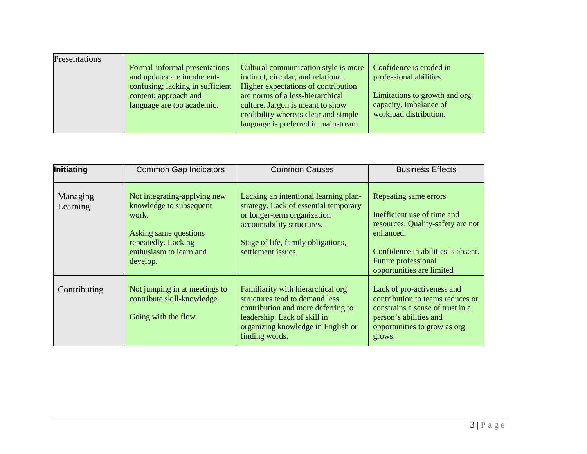| Presentations |                                                              |                                                                             |                                                         |
|---------------|--------------------------------------------------------------|-----------------------------------------------------------------------------|---------------------------------------------------------|
|               | Formal-informal presentations<br>and updates are incoherent- | Cultural communication style is more<br>indirect, circular, and relational. | Confidence is eroded in<br>professional abilities.      |
|               | confusing; lacking in sufficient                             | Higher expectations of contribution                                         |                                                         |
|               | content; approach and<br>language are too academic.          | are norms of a less-hierarchical<br>culture. Jargon is meant to show        | Limitations to growth and org<br>capacity. Imbalance of |
|               |                                                              | credibility whereas clear and simple                                        | workload distribution.                                  |
|               |                                                              | language is preferred in mainstream.                                        |                                                         |

| Initiating           | <b>Common Gap Indicators</b>                                                                                                                            | <b>Common Causes</b>                                                                                                                                                                                    | <b>Business Effects</b>                                                                                                                                                                          |
|----------------------|---------------------------------------------------------------------------------------------------------------------------------------------------------|---------------------------------------------------------------------------------------------------------------------------------------------------------------------------------------------------------|--------------------------------------------------------------------------------------------------------------------------------------------------------------------------------------------------|
| Managing<br>Learning | Not integrating-applying new<br>knowledge to subsequent<br>work.<br>Asking same questions<br>repeatedly. Lacking<br>enthusiasm to learn and<br>develop. | Lacking an intentional learning plan-<br>strategy. Lack of essential temporary<br>or longer-term organization<br>accountability structures.<br>Stage of life, family obligations,<br>settlement issues. | Repeating same errors<br>Inefficient use of time and<br>resources. Quality-safety are not<br>enhanced.<br>Confidence in abilities is absent.<br>Future professional<br>opportunities are limited |
| Contributing         | Not jumping in at meetings to<br>contribute skill-knowledge.<br>Going with the flow.                                                                    | Familiarity with hierarchical org<br>structures tend to demand less<br>contribution and more deferring to<br>leadership. Lack of skill in<br>organizing knowledge in English or<br>finding words.       | Lack of pro-activeness and<br>contribution to teams reduces or<br>constrains a sense of trust in a<br>person's abilities and<br>opportunities to grow as org<br>grows.                           |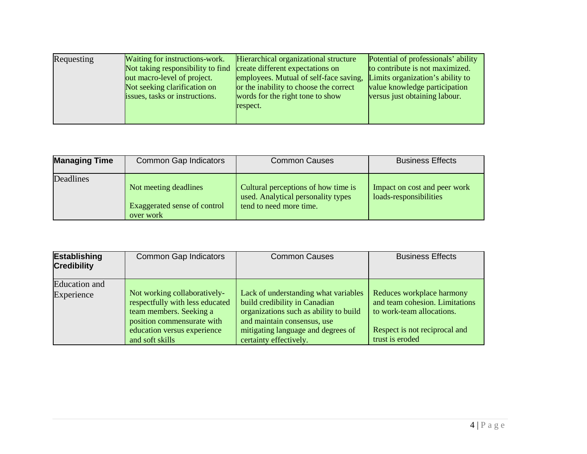| Requesting | Waiting for instructions-work.<br>Not taking responsibility to find<br>out macro-level of project.<br>Not seeking clarification on<br>issues, tasks or instructions. | Hierarchical organizational structure<br>create different expectations on<br>employees. Mutual of self-face saving,<br>or the inability to choose the correct<br>words for the right tone to show<br>respect. | Potential of professionals' ability<br>to contribute is not maximized.<br>Limits organization's ability to<br>value knowledge participation<br>versus just obtaining labour. |
|------------|----------------------------------------------------------------------------------------------------------------------------------------------------------------------|---------------------------------------------------------------------------------------------------------------------------------------------------------------------------------------------------------------|------------------------------------------------------------------------------------------------------------------------------------------------------------------------------|
|            |                                                                                                                                                                      |                                                                                                                                                                                                               |                                                                                                                                                                              |

| <b>Managing Time</b> | <b>Common Gap Indicators</b>                                       | <b>Common Causes</b>                                                                                 | <b>Business Effects</b>                                |
|----------------------|--------------------------------------------------------------------|------------------------------------------------------------------------------------------------------|--------------------------------------------------------|
| Deadlines            | Not meeting deadlines<br>Exaggerated sense of control<br>over work | Cultural perceptions of how time is<br>used. Analytical personality types<br>tend to need more time. | Impact on cost and peer work<br>loads-responsibilities |

| <b>Establishing</b><br><b>Credibility</b> | <b>Common Gap Indicators</b>                                                                                                                            | <b>Common Causes</b>                                                                                                                                                                 | <b>Business Effects</b>                                                                                                   |
|-------------------------------------------|---------------------------------------------------------------------------------------------------------------------------------------------------------|--------------------------------------------------------------------------------------------------------------------------------------------------------------------------------------|---------------------------------------------------------------------------------------------------------------------------|
| <b>Education</b> and                      |                                                                                                                                                         |                                                                                                                                                                                      |                                                                                                                           |
| Experience                                | Not working collaboratively-<br>respectfully with less educated<br>team members. Seeking a<br>position commensurate with<br>education versus experience | Lack of understanding what variables<br>build credibility in Canadian<br>organizations such as ability to build<br>and maintain consensus, use<br>mitigating language and degrees of | Reduces workplace harmony<br>and team cohesion. Limitations<br>to work-team allocations.<br>Respect is not reciprocal and |
|                                           | and soft skills                                                                                                                                         | certainty effectively.                                                                                                                                                               | trust is eroded                                                                                                           |